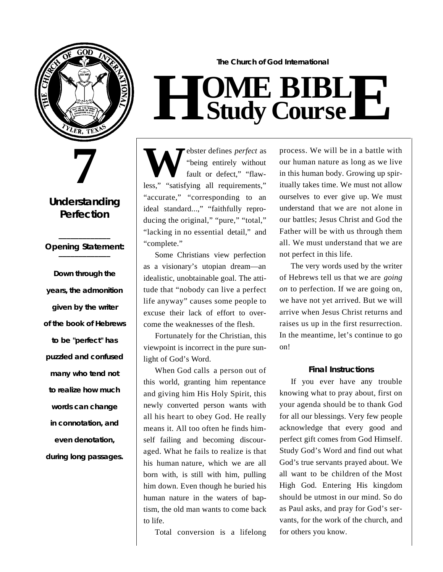

# **7**

### **Understanding Perfection**

#### **\_\_\_\_\_\_\_\_\_\_\_\_\_** *Opening Statement:* **\_\_\_\_\_\_\_\_\_\_\_\_\_**

**Down through the years, the admonition given by the writer of the book of Hebrews to be "perfect" has puzzled and confused many who tend not to realize how much words can change in connotation, and even denotation, during long passages.** 

## **The Church of God International**  $H$  **Study Study Cour BIB s e L E**

**W** ebster defines *perfect* as "being entirely without fault or defect," "flawless," "satisfying all requirements," "accurate," "corresponding to an ideal standard...," "faithfully reproducing the original," "pure," "total," "lacking in no essential detail," and " complete."

Some Christians view perfection as a visionary's utopian dream—an idealistic, unobtainable goal. The attitude that "nobody can live a perfect life anyway" causes some people to excuse their lack of effort to overcome the weaknesses of the flesh.

Fortunately for the Christian, this viewpoint is incorrect in the pure sunlight of God's Word.

When God calls a person out of this world, granting him repentance and giving him His Holy Spirit, this newly converted person wants with all his heart to obey God. He really means it. All too often he finds himself failing and becoming discouraged. What he fails to realize is that his human nature, which we are all born with, is still with him, pulling him down. Even though he buried his human nature in the waters of baptism, the old man wants to come back to life.

Total conversion is a lifelong

process. We will be in a battle with our human nature as long as we live in this human body. Growing up spiritually takes time. We must not allow ourselves to ever give up. We must understand that we are not alone in our battles; Jesus Christ and God the Father will be with us through them all. We must understand that we are not perfect in this life.

The very words used by the writer of Hebrews tell us that we are *going on* to perfection. If we are going on, we have not yet arrived. But we will arrive when Jesus Christ returns and raises us up in the first resurrection. In the meantime, let's continue to go on!

#### **Final Instructions**

If you ever have any trouble knowing what to pray about, first on your agenda should be to thank God for all our blessings. Very few people acknowledge that every good and perfect gift comes from God Himself. Study God's Word and find out what God's true servants prayed about. We all want to be children of the Most High God. Entering His kingdom should be utmost in our mind. So do as Paul asks, and pray for God's servants, for the work of the church, and for others you know.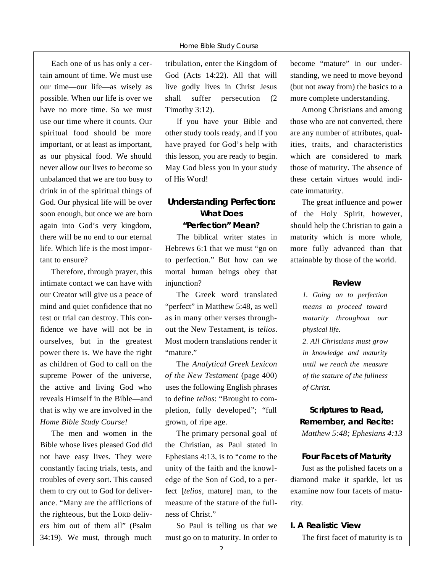Each one of us has only a certain amount of time. We must use our time—our life—as wisely as possible. When our life is over we have no more time. So we must use our time where it counts. Our spiritual food should be more important, or at least as important, as our physical food. We should never allow our lives to become so unbalanced that we are too busy to drink in of the spiritual things of God. Our physical life will be over soon enough, but once we are born again into God's very kingdom, there will be no end to our eternal life. Which life is the most important to ensure?

Therefore, through prayer, this intimate contact we can have with our Creator will give us a peace of mind and quiet confidence that no test or trial can destroy. This confidence we have will not be in ourselves, but in the greatest power there is. We have the right as children of God to call on the supreme Power of the universe, the active and living God who reveals Himself in the Bible—and that is why we are involved in the *Home Bible Study Course!*

The men and women in the Bible whose lives pleased God did not have easy lives. They were constantly facing trials, tests, and troubles of every sort. This caused them to cry out to God for deliverance. "Many are the afflictions of the righteous, but the LORD delivers him out of them all" (Psalm 34:19). We must, through much

tribulation, enter the Kingdom of God (Acts 14:22). All that will live godly lives in Christ Jesus shall suffer persecution (2 Timothy 3:12).

If you have your Bible and other study tools ready, and if you have prayed for God's help with this lesson, you are ready to begin. May God bless you in your study of His Word!

#### **Understanding Perfection: What Does " P e rfection" Mean?**

The biblical writer states in Hebrews 6:1 that we must "go on to perfection." But how can we mortal human beings obey that injunction?

The Greek word translated "perfect" in Matthew 5:48, as well as in many other verses throughout the New Testament, is *telios*. Most modern translations render it " mature."

The *Analytical Greek Lexicon of the New Testament* (page 400) uses the following English phrases to define *telios*: "Brought to completion, fully developed"; "full grown, of ripe age.

The primary personal goal of the Christian, as Paul stated in Ephesians 4:13, is to "come to the unity of the faith and the knowledge of the Son of God, to a perfect [*telios*, mature] man, to the measure of the stature of the fullness of Christ."

So Paul is telling us that we must go on to maturity. In order to

become "mature" in our understanding, we need to move beyond (but not away from) the basics to a more complete understanding.

Among Christians and among those who are not converted, there are any number of attributes, qualities, traits, and characteristics which are considered to mark those of maturity. The absence of these certain virtues would indicate immaturity.

The great influence and power of the Holy Spirit, however, should help the Christian to gain a maturity which is more whole, more fully advanced than that attainable by those of the world.

#### **R e v i e w**

*1. Going on to perfection means to proceed toward maturity throughout our physical life.*

2. All Christians must grow *in knowledge and maturity until we reach the measure of the stature of the fullness of Christ.*

**Scriptures to Read, Remember, and Recite:** *Matthew 5:48; Ephesians 4:13*

#### **Four Facets of Maturity**

Just as the polished facets on a diamond make it sparkle, let us examine now four facets of maturity.

#### **I. A Realistic View**

The first facet of maturity is to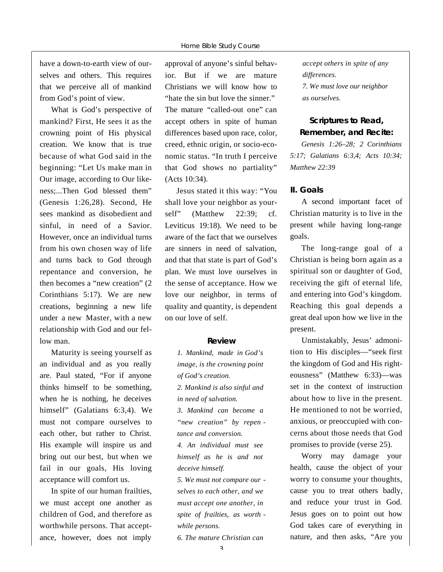have a down-to-earth view of ourselves and others. This requires that we perceive all of mankind from God's point of view.

What is God's perspective of mankind? First, He sees it as the crowning point of His physical creation. We know that is true because of what God said in the beginning: "Let Us make man in Our image, according to Our likeness;...Then God blessed them" (Genesis 1:26,28). Second, He sees mankind as disobedient and sinful, in need of a Savior. However, once an individual turns from his own chosen way of life and turns back to God through repentance and conversion, he then becomes a "new creation" (2 Corinthians 5:17). We are new creations, beginning a new life under a new Master, with a new relationship with God and our fellow man.

Maturity is seeing yourself as an individual and as you really are. Paul stated, "For if anyone thinks himself to be something, when he is nothing, he deceives himself" (Galatians 6:3,4). We must not compare ourselves to each other, but rather to Christ. His example will inspire us and bring out our best, but when we fail in our goals, His loving acceptance will comfort us.

In spite of our human frailties, we must accept one another as children of God, and therefore as worthwhile persons. That acceptance, however, does not imply

approval of anyone's sinful behavior. But if we are mature Christians we will know how to "hate the sin but love the sinner." The mature "called-out one" can accept others in spite of human differences based upon race, color, creed, ethnic origin, or socio-economic status. "In truth I perceive that God shows no partiality" (Acts 10:34).

Jesus stated it this way: "You shall love your neighbor as yourself" (Matthew 22:39; cf. Leviticus 19:18). We need to be aware of the fact that we ourselves are sinners in need of salvation, and that that state is part of God's plan. We must love ourselves in the sense of acceptance. How we love our neighbor, in terms of quality and quantity, is dependent on our love of self.

#### **R e v i e w**

*1. Mankind, made in God's image, is the crowning point of God's creation.* 

*2. Mankind is also sinful and in need of salvation.*

*3. Mankind can become a* "*new creation*" by repen *tance and conversion. 4. An individual must see*

*himself as he is and not deceive himself.*

*5. We must not compare our selves to each other, and we must accept one another, in spite of frailties, as worth while persons.*

*6. The mature Christian can*

*accept others in spite of any*  $d$ *ifferences. 7. We must love our neighbor as ourselves.*

#### **Scriptures to Read, Remember, and Recite:**

*Genesis 1:26–28; 2 Corinthians 5:17; Galatians 6:3,4; Acts 10:34; Matthew 22:39*

#### **II. Goals**

A second important facet of Christian maturity is to live in the present while having long-range goals.

The long-range goal of a Christian is being born again as a spiritual son or daughter of God, receiving the gift of eternal life, and entering into God's kingdom. Reaching this goal depends a great deal upon how we live in the present.

Unmistakably, Jesus' admonition to His disciples—"seek first the kingdom of God and His righteousness" (Matthew 6:33)—was set in the context of instruction about how to live in the present. He mentioned to not be worried, anxious, or preoccupied with concerns about those needs that God promises to provide (verse 25).

Worry may damage your health, cause the object of your worry to consume your thoughts, cause you to treat others badly, and reduce your trust in God. Jesus goes on to point out how God takes care of everything in nature, and then asks, "Are you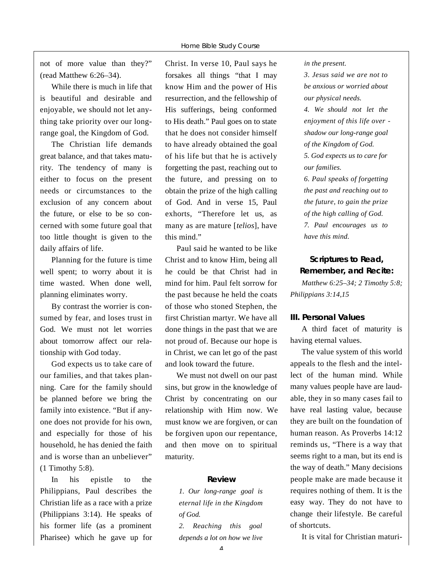not of more value than they?" (read Matthew 6:26–34).

While there is much in life that is beautiful and desirable and enjoyable, we should not let anything take priority over our longrange goal, the Kingdom of God.

The Christian life demands great balance, and that takes maturity. The tendency of many is either to focus on the present needs or circumstances to the exclusion of any concern about the future, or else to be so concerned with some future goal that too little thought is given to the daily affairs of life.

Planning for the future is time well spent; to worry about it is time wasted. When done well, planning eliminates worry.

By contrast the worrier is consumed by fear, and loses trust in God. We must not let worries about tomorrow affect our relationship with God today.

God expects us to take care of our families, and that takes planning. Care for the family should be planned before we bring the family into existence. "But if anyone does not provide for his own, and especially for those of his household, he has denied the faith and is worse than an unbeliever" (1 Timothy 5:8).

In his epistle to the Philippians, Paul describes the Christian life as a race with a prize (Philippians 3:14). He speaks of his former life (as a prominent Pharisee) which he gave up for

Christ. In verse 10, Paul says he forsakes all things "that I may know Him and the power of His resurrection, and the fellowship of His sufferings, being conformed to His death." Paul goes on to state that he does not consider himself to have already obtained the goal of his life but that he is actively forgetting the past, reaching out to the future, and pressing on to obtain the prize of the high calling of God. And in verse 15, Paul exhorts, "Therefore let us, as many as are mature [*telios*], have this mind."

Paul said he wanted to be like Christ and to know Him, being all he could be that Christ had in mind for him. Paul felt sorrow for the past because he held the coats of those who stoned Stephen, the first Christian martyr. We have all done things in the past that we are not proud of. Because our hope is in Christ, we can let go of the past and look toward the future.

We must not dwell on our past sins, but grow in the knowledge of Christ by concentrating on our relationship with Him now. We must know we are forgiven, or can be forgiven upon our repentance, and then move on to spiritual maturity.

#### **R e v i e w**

*1. Our long-range goal is eternal life in the Kingdom of God.*

*2. Reaching this goal depends a lot on how we live* *in the present.* 

*3. Jesus said we are not to be anxious or worried about our physical needs.*

*4. We should not let the enjoyment of this life over shadow our long-range goal of the Kingdom of God. 5. God expects us to care for our families.*

 $6.$  Paul speaks of forgetting *the past and reaching out to the future, to gain the prize of the high calling of God. 7. Paul encourages us to have this mind.*

#### Scriptures to Read, **Remember, and Recite:**

*Matthew 6:25–34; 2 Timothy 5:8; Philippians 3:14,15*

#### **III. Personal Values**

A third facet of maturity is having eternal values.

The value system of this world appeals to the flesh and the intellect of the human mind. While many values people have are laudable, they in so many cases fail to have real lasting value, because they are built on the foundation of human reason. As Proverbs 14:12 reminds us, "There is a way that seems right to a man, but its end is the way of death." Many decisions people make are made because it requires nothing of them. It is the easy way. They do not have to change their lifestyle. Be careful of shortcuts.

It is vital for Christian maturi-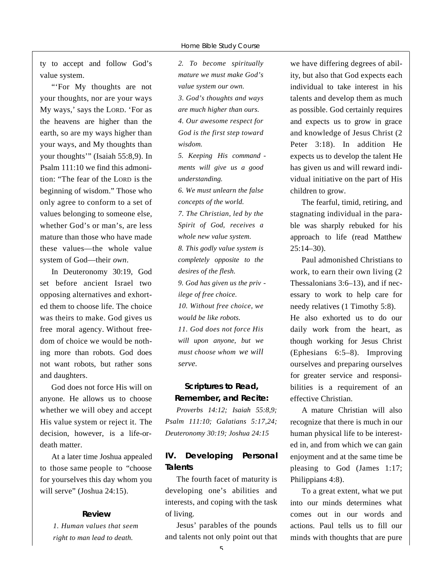ty to accept and follow God's value system.

"'For My thoughts are not your thoughts, nor are your ways My ways,' says the LORD. 'For as the heavens are higher than the earth, so are my ways higher than your ways, and My thoughts than your thoughts'" (Isaiah 55:8,9). In Psalm 111:10 we find this admonition: "The fear of the LORD is the beginning of wisdom." Those who only agree to conform to a set of values belonging to someone else, whether God's or man's, are less mature than those who have made these values—the whole value system of God—their own.

In Deuteronomy 30:19, God set before ancient Israel two opposing alternatives and exhorted them to choose life. The choice was theirs to make. God gives us free moral agency. Without freedom of choice we would be nothing more than robots. God does not want robots, but rather sons and daughters.

God does not force His will on anyone. He allows us to choose whether we will obey and accept His value system or reject it. The decision, however, is a life-ordeath matter.

At a later time Joshua appealed to those same people to "choose for yourselves this day whom you will serve" (Joshua 24:15).

#### **R e v i e w**

*1. Human values that seem right to man lead to death.*

*2. To become spiritually mature we must make God's value system our own. 3. God's thoughts and ways a re much higher than ours. 4. Our awesome respect for God is the first step toward*  $w$ *isdom. 5. Keeping His command ments will give us a good*

 $understanding.$ *6. We must unlearn the false concepts of the world. 7. The Christian, led by the Spirit of God, receives a whole new value system. 8. This godly value system is completely opposite to the desires of the flesh. 9. God has given us the priv ilege of free choice. 10. Without free choice, we would be like robots. 11. God does not force His will upon anyone, but we must choose whom we will s e rv e .*

#### **Scriptures to Read, Remember, and Recite:**

*P roverbs 14:12; Isaiah 55:8,9; Psalm 111:10; Galatians 5:17,24; D e u t e ronomy 30:19; Joshua 24:15*

#### **IV.** Developing Personal **Talents**

The fourth facet of maturity is developing one's abilities and interests, and coping with the task of living.

Jesus' parables of the pounds and talents not only point out that

we have differing degrees of ability, but also that God expects each individual to take interest in his talents and develop them as much as possible. God certainly requires and expects us to grow in grace and knowledge of Jesus Christ (2 Peter 3:18). In addition He expects us to develop the talent He has given us and will reward individual initiative on the part of His children to grow.

The fearful, timid, retiring, and stagnating individual in the parable was sharply rebuked for his approach to life (read Matthew  $25:14 - 30$ .

Paul admonished Christians to work, to earn their own living (2 Thessalonians 3:6–13), and if necessary to work to help care for needy relatives (1 Timothy 5:8). He also exhorted us to do our daily work from the heart, as though working for Jesus Christ (Ephesians 6:5–8). Improving ourselves and preparing ourselves for greater service and responsibilities is a requirement of an e ffective Christian.

A mature Christian will also recognize that there is much in our human physical life to be interested in, and from which we can gain enjoyment and at the same time be pleasing to God (James 1:17; Philippians 4:8).

To a great extent, what we put into our minds determines what comes out in our words and actions. Paul tells us to fill our minds with thoughts that are pure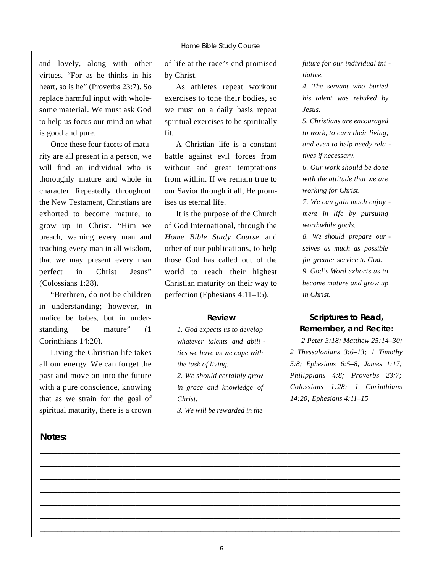and lovely, along with other virtues. "For as he thinks in his heart, so is he" (Proverbs 23:7). So replace harmful input with wholesome material. We must ask God to help us focus our mind on what is good and pure.

Once these four facets of maturity are all present in a person, we will find an individual who is thoroughly mature and whole in character. Repeatedly throughout the New Testament, Christians are exhorted to become mature, to grow up in Christ. "Him we preach, warning every man and teaching every man in all wisdom, that we may present every man perfect in Christ Jesus" (Colossians 1:28).

"Brethren, do not be children in understanding; however, in malice be babes, but in understanding be mature" (1 Corinthians 14:20).

Living the Christian life takes all our energy. We can forget the past and move on into the future with a pure conscience, knowing that as we strain for the goal of spiritual maturity, there is a crown

#### **Notes:**

of life at the race's end promised by Christ.

As athletes repeat workout exercises to tone their bodies, so we must on a daily basis repeat spiritual exercises to be spiritually fit.

A Christian life is a constant battle against evil forces from without and great temptations from within. If we remain true to our Savior through it all, He promises us eternal life.

It is the purpose of the Church of God International, through the *Home Bible Study Course and* other of our publications, to help those God has called out of the world to reach their highest Christian maturity on their way to perfection (Ephesians  $4:11-15$ ).

#### **R e v i e w**

*1. God expects us to develop whatever talents and abili ties we have as we cope with the task of living.* 2. We should certainly grow *in grace and knowledge of*  $Christ.$ *3. We will be re w a rded in the*

**\_\_\_\_\_\_\_\_\_\_\_\_\_\_\_\_\_\_\_\_\_\_\_\_\_\_\_\_\_\_\_\_\_\_\_\_\_\_\_\_\_\_\_\_\_\_\_\_\_\_\_\_\_\_\_\_\_\_\_\_\_\_\_\_\_\_\_\_\_\_\_\_\_\_\_\_\_\_\_\_\_\_\_ \_\_\_\_\_\_\_\_\_\_\_\_\_\_\_\_\_\_\_\_\_\_\_\_\_\_\_\_\_\_\_\_\_\_\_\_\_\_\_\_\_\_\_\_\_\_\_\_\_\_\_\_\_\_\_\_\_\_\_\_\_\_\_\_\_\_\_\_\_\_\_\_\_\_\_\_\_\_\_\_\_\_\_ \_\_\_\_\_\_\_\_\_\_\_\_\_\_\_\_\_\_\_\_\_\_\_\_\_\_\_\_\_\_\_\_\_\_\_\_\_\_\_\_\_\_\_\_\_\_\_\_\_\_\_\_\_\_\_\_\_\_\_\_\_\_\_\_\_\_\_\_\_\_\_\_\_\_\_\_\_\_\_\_\_\_\_ \_\_\_\_\_\_\_\_\_\_\_\_\_\_\_\_\_\_\_\_\_\_\_\_\_\_\_\_\_\_\_\_\_\_\_\_\_\_\_\_\_\_\_\_\_\_\_\_\_\_\_\_\_\_\_\_\_\_\_\_\_\_\_\_\_\_\_\_\_\_\_\_\_\_\_\_\_\_\_\_\_\_\_ \_\_\_\_\_\_\_\_\_\_\_\_\_\_\_\_\_\_\_\_\_\_\_\_\_\_\_\_\_\_\_\_\_\_\_\_\_\_\_\_\_\_\_\_\_\_\_\_\_\_\_\_\_\_\_\_\_\_\_\_\_\_\_\_\_\_\_\_\_\_\_\_\_\_\_\_\_\_\_\_\_\_\_ \_\_\_\_\_\_\_\_\_\_\_\_\_\_\_\_\_\_\_\_\_\_\_\_\_\_\_\_\_\_\_\_\_\_\_\_\_\_\_\_\_\_\_\_\_\_\_\_\_\_\_\_\_\_\_\_\_\_\_\_\_\_\_\_\_\_\_\_\_\_\_\_\_\_\_\_\_\_\_\_\_\_\_ \_\_\_\_\_\_\_\_\_\_\_\_\_\_\_\_\_\_\_\_\_\_\_\_\_\_\_\_\_\_\_\_\_\_\_\_\_\_\_\_\_\_\_\_\_\_\_\_\_\_\_\_\_\_\_\_\_\_\_\_\_\_\_\_\_\_\_\_\_\_\_\_\_\_\_\_\_\_\_\_\_\_\_**

*f u t u re for our individual ini - .* 

*4. The servant who buried his talent was rebuked by J e s u s .*

*5. Christians are encouraged to work, to earn their living, and even to help needy rela tives if necessary.*

*6. Our work should be done with the attitude that we are working for Christ.*

*7. We can gain much enjoy ment in life by pursuing w o rthwhile goals.*

8. We should prepare our *selves as much as possible for greater service to God. 9. God's Wo rd exhorts us to become mature and grow up in Christ.*

#### **Scriptures to Read, Remember, and Recite:**

*2 Peter 3:18; Matthew 25:14–30;* 2 Thessalonians 3:6–13; 1 Timothy *5:8; Ephesians 6:5–8; James 1:17; Philippians 4:8; Proverbs 23:7; Colossians 1:28; 1 Corinthians 14:20; Ephesians 4:11-15*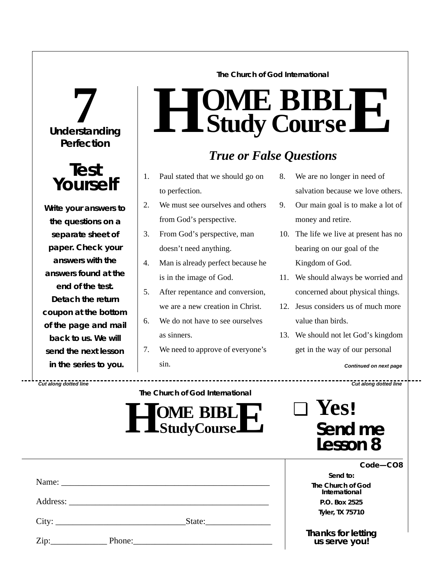# **Understanding 7 Perfection**



**Write your answers to the questions on a separate sheet of paper. Check** *your* **answers with the answers found at the end of the test. Detach the return coupon at the bottom of the page and mail back to us. We will send the next lesson in the series to you.**

**The Church of God International**

# $H$  **Study Study Cour BIB s e L E**

# *True or False Questions*

- 1. Paul stated that we should go on to perfection.
- 2. We must see ourselves and others from God's perspective.
- 3. From God's perspective, man doesn't need anything.
- 4. Man is already perfect because he is in the image of God.
- 5. After repentance and conversion, we are a new creation in Christ.
- 6. We do not have to see ourselves as sinners.
- 7. We need to approve of everyone's sin.
- 8. We are no longer in need of salvation because we love others.
- 9. Our main goal is to make a lot of money and retire.
- 10. The life we live at present has no bearing on our goal of the Kingdom of God.
- 11. We should always be worried and concerned about physical things.
- 12. Jesus considers us of much more value than birds.
- 13. We should not let God's kingdom get in the way of our personal

*Continued on next page*

*Cut along dotted line Cut along dotted line*

**The Church of God International**

**HO StudyCourse ME** BIBL **E**

| J | 1 CS!               |
|---|---------------------|
|   | Send me<br>Lesson 8 |

 $\sum_{\alpha}$ 

|      | City:  | State: |  |
|------|--------|--------|--|
| Zip: | Phone: |        |  |

*Code—CO8*

*Send to:* **The Church of God International P.O. Box 2525 Tyler, TX 75710**

*Thanks for letting us serve you!*